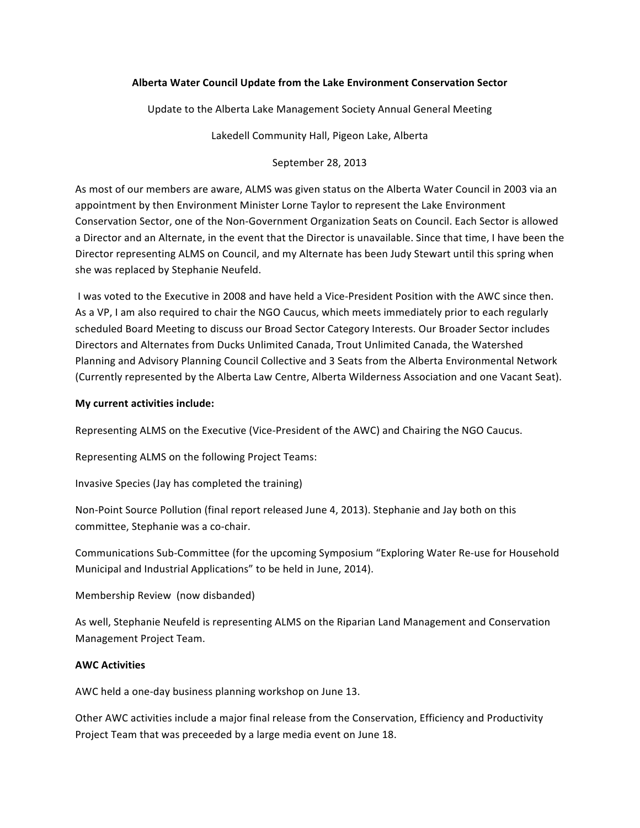## **Alberta Water Council Update from the Lake Environment Conservation Sector**

Update to the Alberta Lake Management Society Annual General Meeting

Lakedell Community Hall, Pigeon Lake, Alberta

September 28, 2013

As most of our members are aware, ALMS was given status on the Alberta Water Council in 2003 via an appointment by then Environment Minister Lorne Taylor to represent the Lake Environment Conservation Sector, one of the Non-Government Organization Seats on Council. Each Sector is allowed a Director and an Alternate, in the event that the Director is unavailable. Since that time, I have been the Director representing ALMS on Council, and my Alternate has been Judy Stewart until this spring when she was replaced by Stephanie Neufeld.

I was voted to the Executive in 2008 and have held a Vice-President Position with the AWC since then. As a VP, I am also required to chair the NGO Caucus, which meets immediately prior to each regularly scheduled Board Meeting to discuss our Broad Sector Category Interests. Our Broader Sector includes Directors and Alternates from Ducks Unlimited Canada, Trout Unlimited Canada, the Watershed Planning and Advisory Planning Council Collective and 3 Seats from the Alberta Environmental Network (Currently represented by the Alberta Law Centre, Alberta Wilderness Association and one Vacant Seat).

## **My current activities include:**

Representing ALMS on the Executive (Vice-President of the AWC) and Chairing the NGO Caucus.

Representing ALMS on the following Project Teams:

Invasive Species (Jay has completed the training)

Non-Point Source Pollution (final report released June 4, 2013). Stephanie and Jay both on this committee, Stephanie was a co-chair.

Communications Sub-Committee (for the upcoming Symposium "Exploring Water Re-use for Household Municipal and Industrial Applications" to be held in June, 2014).

Membership Review (now disbanded)

As well, Stephanie Neufeld is representing ALMS on the Riparian Land Management and Conservation Management Project Team.

## **AWC Activities**

AWC held a one-day business planning workshop on June 13.

Other AWC activities include a major final release from the Conservation, Efficiency and Productivity Project Team that was preceeded by a large media event on June 18.